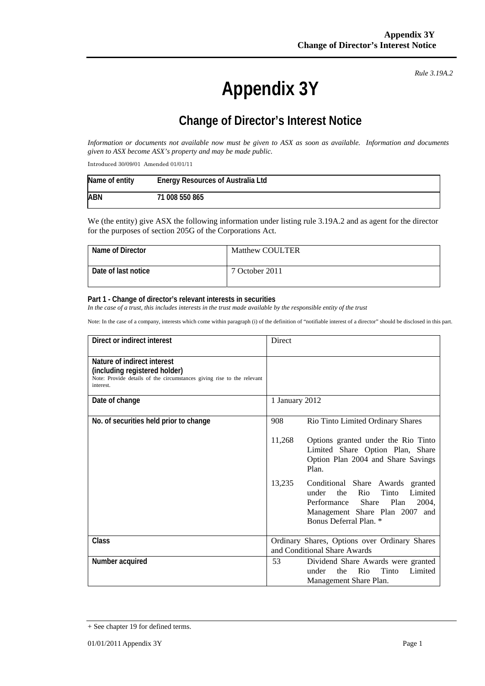**Appendix 3Y** 

*Rule 3.19A.2*

## **Change of Director's Interest Notice**

*Information or documents not available now must be given to ASX as soon as available. Information and documents given to ASX become ASX's property and may be made public.* 

Introduced 30/09/01 Amended 01/01/11

| Name of entity | <b>Energy Resources of Australia Ltd</b> |
|----------------|------------------------------------------|
| <b>ABN</b>     | 71 008 550 865                           |

We (the entity) give ASX the following information under listing rule 3.19A.2 and as agent for the director for the purposes of section 205G of the Corporations Act.

| Name of Director    | Matthew COULTER |
|---------------------|-----------------|
| Date of last notice | 7 October 2011  |

## **Part 1 - Change of director's relevant interests in securities**

In the case of a trust, this includes interests in the trust made available by the responsible entity of the trust

Note: In the case of a company, interests which come within paragraph (i) of the definition of "notifiable interest of a director" should be disclosed in this part.

| Direct or indirect interest                                                                                                                         | Direct                                                                                                                                                                                                   |
|-----------------------------------------------------------------------------------------------------------------------------------------------------|----------------------------------------------------------------------------------------------------------------------------------------------------------------------------------------------------------|
| Nature of indirect interest<br>(including registered holder)<br>Note: Provide details of the circumstances giving rise to the relevant<br>interest. |                                                                                                                                                                                                          |
| Date of change                                                                                                                                      | 1 January 2012                                                                                                                                                                                           |
| No. of securities held prior to change                                                                                                              | 908<br>Rio Tinto Limited Ordinary Shares                                                                                                                                                                 |
|                                                                                                                                                     | 11,268<br>Options granted under the Rio Tinto<br>Limited Share Option Plan, Share<br>Option Plan 2004 and Share Savings<br>Plan.                                                                         |
|                                                                                                                                                     | 13,235<br>Conditional Share Awards granted<br>Tinto<br>the<br>Rio<br>Limited<br>under<br><b>Share</b><br>Plan<br>Performance<br>2004,<br>Management Share Plan 2007 and<br><b>Bonus Deferral Plan.</b> * |
| Class                                                                                                                                               | Ordinary Shares, Options over Ordinary Shares<br>and Conditional Share Awards                                                                                                                            |
| Number acquired                                                                                                                                     | 53<br>Dividend Share Awards were granted<br>Rio<br>Tinto<br>the<br>Limited<br>under<br>Management Share Plan.                                                                                            |

<sup>+</sup> See chapter 19 for defined terms.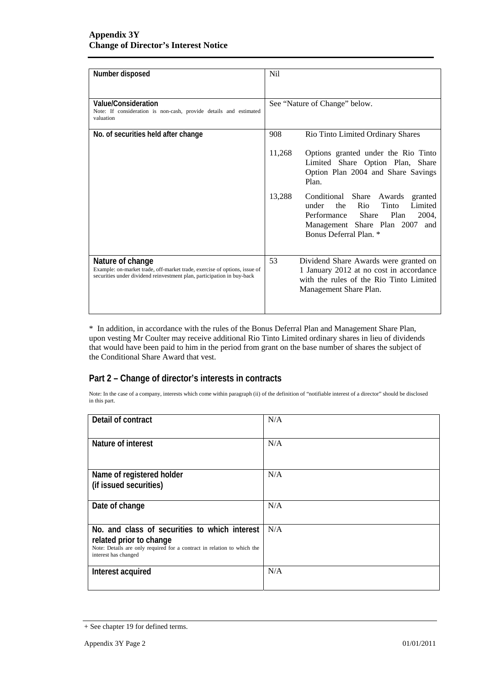| Number disposed                                                                                                                                                         | Nil                                                                                                                                                                                           |
|-------------------------------------------------------------------------------------------------------------------------------------------------------------------------|-----------------------------------------------------------------------------------------------------------------------------------------------------------------------------------------------|
| Value/Consideration<br>Note: If consideration is non-cash, provide details and estimated<br>valuation                                                                   | See "Nature of Change" below.                                                                                                                                                                 |
| No. of securities held after change                                                                                                                                     | 908<br>Rio Tinto Limited Ordinary Shares                                                                                                                                                      |
|                                                                                                                                                                         | 11,268<br>Options granted under the Rio Tinto<br>Limited Share Option Plan, Share<br>Option Plan 2004 and Share Savings<br>Plan.                                                              |
|                                                                                                                                                                         | 13,288<br>Conditional Share Awards<br>granted<br>Tinto<br>the Rio<br>Limited<br>under<br>Performance<br>Share<br>Plan<br>2004,<br>Management Share Plan 2007<br>and<br>Bonus Deferral Plan. * |
| Nature of change<br>Example: on-market trade, off-market trade, exercise of options, issue of<br>securities under dividend reinvestment plan, participation in buy-back | 53<br>Dividend Share Awards were granted on<br>1 January 2012 at no cost in accordance<br>with the rules of the Rio Tinto Limited<br>Management Share Plan.                                   |

\* In addition, in accordance with the rules of the Bonus Deferral Plan and Management Share Plan, upon vesting Mr Coulter may receive additional Rio Tinto Limited ordinary shares in lieu of dividends that would have been paid to him in the period from grant on the base number of shares the subject of the Conditional Share Award that vest.

## **Part 2 – Change of director's interests in contracts**

Note: In the case of a company, interests which come within paragraph (ii) of the definition of "notifiable interest of a director" should be disclosed in this part.

| Detail of contract                                                                                                                                                          | N/A |
|-----------------------------------------------------------------------------------------------------------------------------------------------------------------------------|-----|
| Nature of interest                                                                                                                                                          | N/A |
| Name of registered holder<br>(if issued securities)                                                                                                                         | N/A |
| Date of change                                                                                                                                                              | N/A |
| No. and class of securities to which interest<br>related prior to change<br>Note: Details are only required for a contract in relation to which the<br>interest has changed | N/A |
| Interest acquired                                                                                                                                                           | N/A |

<sup>+</sup> See chapter 19 for defined terms.